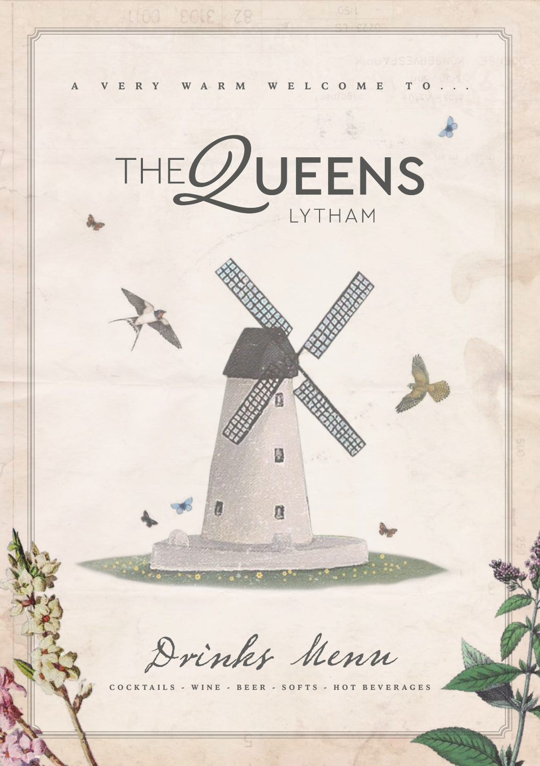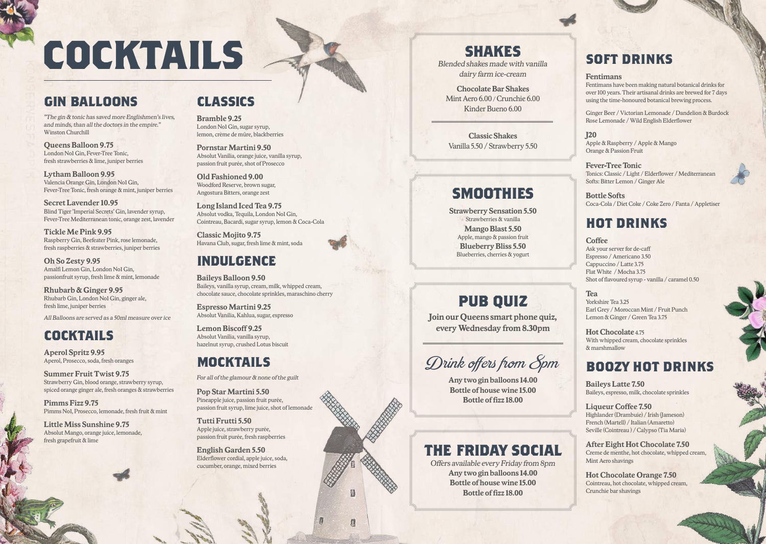# **COCKTAILS**

# **GIN BALLOONS**

*"The gin & tonic has saved more Englishmen's lives, and minds, than all the doctors in the empire.*" Winston Churchill

**Queens Balloon 9.75** London No1 Gin, Fever-Tree Tonic, fresh strawberries & lime, juniper berries

**Lytham Balloon 9.95** Valencia Orange Gin, London No1 Gin, Fever-Tree Tonic, fresh orange & mint, juniper berries

**Secret Lavender 10.95** Blind Tiger 'Imperial Secrets' Gin, lavender syrup, Fever-Tree Mediterranean tonic, orange zest, lavender

**Tickle Me Pink 9.95** Raspberry Gin, Beefeater Pink, rose lemonade, fresh raspberries & strawberries, juniper berries

**Oh So Zesty 9.95** Amalfi Lemon Gin, London No1 Gin, passionfruit syrup, fresh lime & mint, lemonade

**Rhubarb & Ginger 9.95** Rhubarb Gin, London No1 Gin, ginger ale, fresh lime, juniper berries

*All Balloons are served as a 50ml measure over ice*

# **COCKTAILS**

**Aperol Spritz 9.95** Aperol, Prosecco, soda, fresh oranges

**Summer Fruit Twist 9.75** Strawberry Gin, blood orange, strawberry syrup, spiced orange ginger ale, fresh oranges & strawberries

**Pimms Fizz 9.75** Pimms No1, Prosecco, lemonade, fresh fruit & mint

**Little Miss Sunshine 9.75** Absolut Mango, orange juice, lemonade, fresh grapefruit & lime

### **CLASSICS**

**Bramble 9.25** London No1 Gin, sugar syrup, lemon, crème de mûre, blackberries

**Pornstar Martini 9.50** Absolut Vanilia, orange juice, vanilla syrup, passion fruit purée, shot of Prosecco

**Old Fashioned 9.00**  Woodford Reserve, brown sugar, Angostura Bitters, orange zest

**Long Island Iced Tea 9.75**  Absolut vodka, Tequila, London No1 Gin, Cointreau, Bacardi, sugar syrup, lemon & Coca-Cola

**Classic Mojito 9.75**  Havana Club, sugar, fresh lime & mint, soda

### **INDULGENCE**

**Baileys Balloon 9.50** Baileys, vanilla syrup, cream, milk, whipped cream, chocolate sauce, chocolate sprinkles, maraschino cherry

**Espresso Martini 9.25** Absolut Vanilia, Kahlua, sugar, espresso

**Lemon Biscoff 9.25** Absolut Vanilia, vanilla syrup, hazelnut syrup, crushed Lotus biscuit

### **MOCKTAILS**

*For all of the glamour & none of the guilt*

**Pop Star Martini 5.50** Pineapple juice, passion fruit purée, passion fruit syrup, lime juice, shot of lemonade

圆

度

**Tutti Frutti 5.50** Apple juice, strawberry purée, passion fruit purée, fresh raspberries

**English Garden 5.50** Elderflower cordial, apple juice, soda, cucumber, orange, mixed berries

### **SHAKES**

*Blended shakes made with vanilla dairy farm ice-cream*

**Chocolate Bar Shakes** Mint Aero 6.00 / Crunchie 6.00 Kinder Bueno 6.00

**Classic Shakes** Vanilla 5.50 / Strawberry 5.50

# **SMOOTHIES**

**Strawberry Sensation 5.50** Strawberries & vanilla **Mango Blast 5.50** Apple, mango & passion fruit **Blueberry Bliss 5.50** Blueberries, cherries & yogurt

# **PUB QUIZ**

**Join our Queens smart phone quiz, every Wednesday from 8.30pm**

# Drink offers from 8pm

**Any two gin balloons 14.00 Bottle of house wine 15.00 Bottle of fizz 18.00**

### **THE FRIDAY SOCIAL**

*Offers available every Friday from 8pm* **Any two gin balloons 14.00 Bottle of house wine 15.00 Bottle of fizz 18.00**

### **SOFT DRINKS**

#### **Fentimans**

Fentimans have been making natural botanical drinks for over 100 years. Their artisanal drinks are brewed for 7 days using the time-honoured botanical brewing process.

Ginger Beer / Victorian Lemonade / Dandelion & Burdock Rose Lemonade / Wild English Elderflower

**J20** Apple & Raspberry / Apple & Mango Orange & Passion Fruit

**Fever-Tree Tonic** Tonics: Classic / Light / Elderflower / Mediterranean Softs: Bitter Lemon / Ginger Ale

**Bottle Softs** Coca-Cola / Diet Coke / Coke Zero / Fanta / Appletiser

# **HOT DRINKS**

#### **Coffee** Ask your server for de-caff Espresso / Americano 3.50 Cappuccino / Latte 3.75 Flat White / Mocha 3.75 Shot of flavoured syrup - vanilla / caramel 0.50

**Tea** Yorkshire Tea 3.25 Earl Grey / Moroccan Mint / Fruit Punch Lemon & Ginger / Green Tea 3.75

**Hot Chocolate** 475 With whipped cream, chocolate sprinkles & marshmallow

### **BOOZY HOT DRINKS**

**Baileys Latte 7.50** Baileys, espresso, milk, chocolate sprinkles

**Liqueur Coffee 7.50** Highlander (Drambuie) / Irish (Jameson) French (Martell) / Italian (Amaretto) Seville (Cointreau ) / Calypso (Tia Maria)

**After Eight Hot Chocolate 7.50** Creme de menthe, hot chocolate, whipped cream, Mint Aero shavings

**Hot Chocolate Orange 7.50** Cointreau, hot chocolate, whipped cream, Crunchie bar shavings